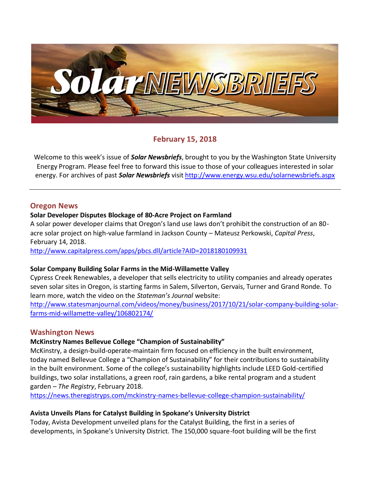

# **February 15, 2018**

Welcome to this week's issue of *Solar Newsbriefs*, brought to you by the Washington State University Energy Program. Please feel free to forward this issue to those of your colleagues interested in solar energy. For archives of past *Solar Newsbriefs* visi[t http://www.energy.wsu.edu/solarnewsbriefs.aspx](http://www.energy.wsu.edu/solarnewsbriefs.aspx)

## **Oregon News**

### **Solar Developer Disputes Blockage of 80-Acre Project on Farmland**

A solar power developer claims that Oregon's land use laws don't prohibit the construction of an 80 acre solar project on high-value farmland in Jackson County – Mateusz Perkowski, *Capital Press*, February 14, 2018.

<http://www.capitalpress.com/apps/pbcs.dll/article?AID=2018180109931>

### **Solar Company Building Solar Farms in the Mid-Willamette Valley**

Cypress Creek Renewables, a developer that sells electricity to utility companies and already operates seven solar sites in Oregon, is starting farms in Salem, Silverton, Gervais, Turner and Grand Ronde. To learn more, watch the video on the *Stateman's Journal* website:

[http://www.statesmanjournal.com/videos/money/business/2017/10/21/solar-company-building-solar](http://www.statesmanjournal.com/videos/money/business/2017/10/21/solar-company-building-solar-farms-mid-willamette-valley/106802174/)[farms-mid-willamette-valley/106802174/](http://www.statesmanjournal.com/videos/money/business/2017/10/21/solar-company-building-solar-farms-mid-willamette-valley/106802174/)

### **Washington News**

### **McKinstry Names Bellevue College "Champion of Sustainability"**

McKinstry, a design-build-operate-maintain firm focused on efficiency in the built environment, today named Bellevue College a "Champion of Sustainability" for their contributions to sustainability in the built environment. Some of the college's sustainability highlights include LEED Gold-certified buildings, two solar installations, a green roof, rain gardens, a bike rental program and a student garden – *The Registry*, February 2018.

<https://news.theregistryps.com/mckinstry-names-bellevue-college-champion-sustainability/>

### **Avista Unveils Plans for Catalyst Building in Spokane's University District**

Today, Avista Development unveiled plans for the Catalyst Building, the first in a series of developments, in Spokane's University District. The 150,000 square-foot building will be the first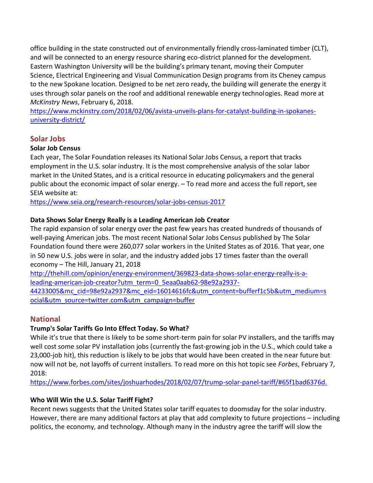office building in the state constructed out of environmentally friendly cross-laminated timber (CLT), and will be connected to an energy resource sharing eco-district planned for the development. Eastern Washington University will be the building's primary tenant, moving their Computer Science, Electrical Engineering and Visual Communication Design programs from its Cheney campus to the new Spokane location. Designed to be net zero ready, the building will generate the energy it uses through solar panels on the roof and additional renewable energy technologies. Read more at *McKinstry News*, February 6, 2018.

[https://www.mckinstry.com/2018/02/06/avista-unveils-plans-for-catalyst-building-in-spokanes](https://www.mckinstry.com/2018/02/06/avista-unveils-plans-for-catalyst-building-in-spokanes-university-district/)[university-district/](https://www.mckinstry.com/2018/02/06/avista-unveils-plans-for-catalyst-building-in-spokanes-university-district/)

# **Solar Jobs**

## **Solar Job Census**

Each year, The Solar Foundation releases its National Solar Jobs Census, a report that tracks employment in the U.S. solar industry. It is the most comprehensive analysis of the solar labor market in the United States, and is a critical resource in educating policymakers and the general public about the economic impact of solar energy. – To read more and access the full report, see SEIA website at:

<https://www.seia.org/research-resources/solar-jobs-census-2017>

# **Data Shows Solar Energy Really is a Leading American Job Creator**

The rapid expansion of solar energy over the past few years has created hundreds of thousands of well-paying American jobs. The most recent [National Solar Jobs Census](http://www.solarjobscensus.org/) published by The Solar Foundation found there were 260,077 solar workers in the United States as of 2016. That year, one in 50 new U.S. jobs were in solar, and the industry added jobs 17 times faster than the overall economy – The Hill, January 21, 2018

[http://thehill.com/opinion/energy-environment/369823-data-shows-solar-energy-really-is-a](http://thehill.com/opinion/energy-environment/369823-data-shows-solar-energy-really-is-a-leading-american-job-creator?utm_term=0_5eaa0aab62-98e92a2937-44233005&mc_cid=98e92a2937&mc_eid=16014616fc&utm_content=bufferf1c5b&utm_medium=social&utm_source=twitter.com&utm_campaign=buffer)[leading-american-job-creator?utm\\_term=0\\_5eaa0aab62-98e92a2937-](http://thehill.com/opinion/energy-environment/369823-data-shows-solar-energy-really-is-a-leading-american-job-creator?utm_term=0_5eaa0aab62-98e92a2937-44233005&mc_cid=98e92a2937&mc_eid=16014616fc&utm_content=bufferf1c5b&utm_medium=social&utm_source=twitter.com&utm_campaign=buffer)

[44233005&mc\\_cid=98e92a2937&mc\\_eid=16014616fc&utm\\_content=bufferf1c5b&utm\\_medium=s](http://thehill.com/opinion/energy-environment/369823-data-shows-solar-energy-really-is-a-leading-american-job-creator?utm_term=0_5eaa0aab62-98e92a2937-44233005&mc_cid=98e92a2937&mc_eid=16014616fc&utm_content=bufferf1c5b&utm_medium=social&utm_source=twitter.com&utm_campaign=buffer) [ocial&utm\\_source=twitter.com&utm\\_campaign=buffer](http://thehill.com/opinion/energy-environment/369823-data-shows-solar-energy-really-is-a-leading-american-job-creator?utm_term=0_5eaa0aab62-98e92a2937-44233005&mc_cid=98e92a2937&mc_eid=16014616fc&utm_content=bufferf1c5b&utm_medium=social&utm_source=twitter.com&utm_campaign=buffer)

# **National**

# **Trump's Solar Tariffs Go Into Effect Today. So What?**

While it's true that there is likely to be some short-term pain for solar PV installers, and the tariffs may well cost some solar PV installation jobs [\(currently the fast-growing job in the U.S.,](https://www.bls.gov/ooh/fastest-growing.htm) which could take a [23,000-job hit\)](https://www.seia.org/news/presidents-decision-solar-tariffs-loss-america), this reduction is likely to be jobs that would have been created in the near future but now will not be[, not layoffs](https://www.greentechmedia.com/articles/read/trumps-solar-tariffs-everything-you-need-to-know#gs.qFVM0Tg) of current installers. To read more on this hot topic see *Forbes*, February 7, 2018:

[https://www.forbes.com/sites/joshuarhodes/2018/02/07/trump-solar-panel-tariff/#65f1bad6376d.](https://www.forbes.com/sites/joshuarhodes/2018/02/07/trump-solar-panel-tariff/%2365f1bad6376d.)

# **Who Will Win the U.S. Solar Tariff Fight?**

Recent news suggests that the United States solar tariff equates to doomsday for the solar industry. However, there are many additional factors at play that add complexity to future projections – including politics, the economy, and technology. Although many in the industry agree the tariff will slow the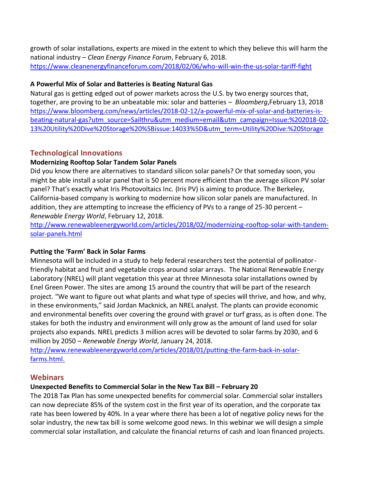growth of solar installations, experts are mixed in the extent to which they believe this will harm the national industry – *Clean Energy Finance Forum*, February 6, 2018. <https://www.cleanenergyfinanceforum.com/2018/02/06/who-will-win-the-us-solar-tariff-fight>

## **A Powerful Mix of Solar and Batteries is Beating Natural Gas**

Natural gas is getting [edged out](https://www.bloomberg.com/news/articles/2018-01-11/a-new-era-of-batteries-spells-trouble-for-natural-gas-in-america) of power markets across the U.S. by two energy sources that, together, are proving to be an unbeatable mix: solar and batteries – *Bloomberg*,February 13, 2018 [https://www.bloomberg.com/news/articles/2018-02-12/a-powerful-mix-of-solar-and-batteries-is](https://www.bloomberg.com/news/articles/2018-02-12/a-powerful-mix-of-solar-and-batteries-is-beating-natural-gas?utm_source=Sailthru&utm_medium=email&utm_campaign=Issue:%202018-02-13%20Utility%20Dive%20Storage%20%5Bissue:14033%5D&utm_term=Utility%20Dive:%20Storage)[beating-natural-gas?utm\\_source=Sailthru&utm\\_medium=email&utm\\_campaign=Issue:%202018-02-](https://www.bloomberg.com/news/articles/2018-02-12/a-powerful-mix-of-solar-and-batteries-is-beating-natural-gas?utm_source=Sailthru&utm_medium=email&utm_campaign=Issue:%202018-02-13%20Utility%20Dive%20Storage%20%5Bissue:14033%5D&utm_term=Utility%20Dive:%20Storage) [13%20Utility%20Dive%20Storage%20%5Bissue:14033%5D&utm\\_term=Utility%20Dive:%20Storage](https://www.bloomberg.com/news/articles/2018-02-12/a-powerful-mix-of-solar-and-batteries-is-beating-natural-gas?utm_source=Sailthru&utm_medium=email&utm_campaign=Issue:%202018-02-13%20Utility%20Dive%20Storage%20%5Bissue:14033%5D&utm_term=Utility%20Dive:%20Storage)

# **Technological Innovations**

## **Modernizing Rooftop Solar Tandem Solar Panels**

Did you know there are alternatives to standard silicon solar panels? Or that someday soon, you might be able install a solar panel that is 50 percent more efficient than the average silicon PV solar panel? That's exactly what Iris Photovoltaics Inc. (Iris PV) is aiming to produce. The Berkeley, California-based company is working to modernize how silicon solar panels are manufactured. In addition, they are attempting to increase the efficiency of PVs to a range of 25-30 percent – *Renewable Energy World*, February 12, 2018.

[http://www.renewableenergyworld.com/articles/2018/02/modernizing-rooftop-solar-with-tandem](http://www.renewableenergyworld.com/articles/2018/02/modernizing-rooftop-solar-with-tandem-solar-panels.html)[solar-panels.html](http://www.renewableenergyworld.com/articles/2018/02/modernizing-rooftop-solar-with-tandem-solar-panels.html)

### **Putting the 'Farm' Back in Solar Farms**

Minnesota will be included in a study to help federal researchers test the potential of pollinatorfriendly habitat and fruit and vegetable crops around solar arrays. The National Renewable Energy Laboratory (NREL) will plant vegetation this year at three Minnesot[a solar](http://www.renewableenergyworld.com/content/rew/en/solar-energy.html) installations owned by Enel Green Power. The sites are among 15 around the country that will be part of the research project. "We want to figure out what plants and what type of species will thrive, and how, and why, in these environments," said Jordan Macknick, an NREL analyst. The plants can provide economic and environmental benefits over covering the ground with gravel or turf grass, as is often done. The stakes for both the industry and environment will only grow as the amount of land used for solar projects also expands. NREL predicts 3 million acres will be devoted to solar farms by 2030, and 6 million by 2050 – *Renewable Energy World*, January 24, 2018.

[http://www.renewableenergyworld.com/articles/2018/01/putting-the-farm-back-in-solar](http://www.renewableenergyworld.com/articles/2018/01/putting-the-farm-back-in-solar-farms.html.)[farms.html.](http://www.renewableenergyworld.com/articles/2018/01/putting-the-farm-back-in-solar-farms.html.)

# **Webinars**

### **Unexpected Benefits to Commercial Solar in the New Tax Bill – February 20**

The 2018 Tax Plan has some unexpected benefits for commercial solar. Commercial solar installers can now depreciate 85% of the system cost in the first year of its operation, and the corporate tax rate has been lowered by 40%. In a year where there has been a lot of negative policy news for the solar industry, the new tax bill is some welcome good news. In this webinar we will design a simple commercial solar installation, and calculate the financial returns of cash and loan financed projects.